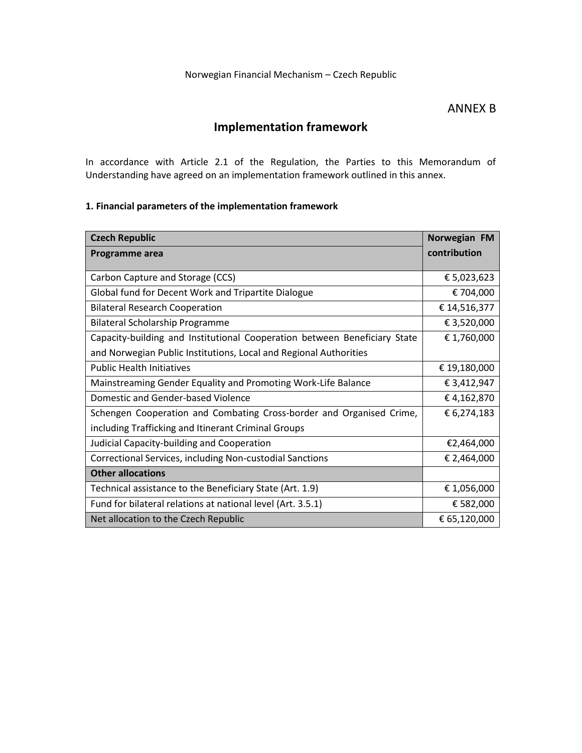### ANNEX B

# **Implementation framework**

In accordance with Article 2.1 of the Regulation, the Parties to this Memorandum of Understanding have agreed on an implementation framework outlined in this annex.

## **1. Financial parameters of the implementation framework**

| <b>Czech Republic</b>                                                     | Norwegian FM |
|---------------------------------------------------------------------------|--------------|
| Programme area                                                            | contribution |
|                                                                           |              |
| Carbon Capture and Storage (CCS)                                          | € 5,023,623  |
| Global fund for Decent Work and Tripartite Dialogue                       | € 704,000    |
| <b>Bilateral Research Cooperation</b>                                     | € 14,516,377 |
| <b>Bilateral Scholarship Programme</b>                                    | € 3,520,000  |
| Capacity-building and Institutional Cooperation between Beneficiary State | € 1,760,000  |
| and Norwegian Public Institutions, Local and Regional Authorities         |              |
| <b>Public Health Initiatives</b>                                          | € 19,180,000 |
| Mainstreaming Gender Equality and Promoting Work-Life Balance             | € 3,412,947  |
| Domestic and Gender-based Violence                                        | €4,162,870   |
| Schengen Cooperation and Combating Cross-border and Organised Crime,      | € 6,274,183  |
| including Trafficking and Itinerant Criminal Groups                       |              |
| Judicial Capacity-building and Cooperation                                | €2,464,000   |
| Correctional Services, including Non-custodial Sanctions                  | € 2,464,000  |
| <b>Other allocations</b>                                                  |              |
| Technical assistance to the Beneficiary State (Art. 1.9)                  | €1,056,000   |
| Fund for bilateral relations at national level (Art. 3.5.1)               | € 582,000    |
| Net allocation to the Czech Republic                                      | € 65,120,000 |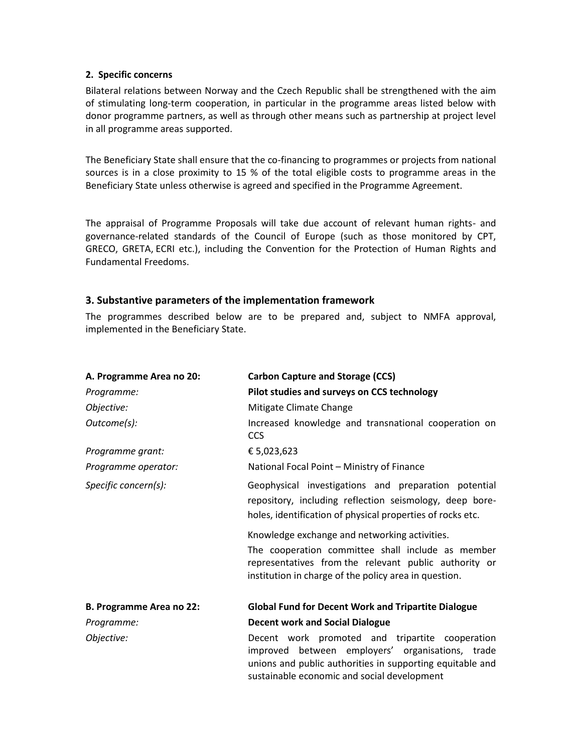#### **2. Specific concerns**

Bilateral relations between Norway and the Czech Republic shall be strengthened with the aim of stimulating long-term cooperation, in particular in the programme areas listed below with donor programme partners, as well as through other means such as partnership at project level in all programme areas supported.

The Beneficiary State shall ensure that the co-financing to programmes or projects from national sources is in a close proximity to 15 % of the total eligible costs to programme areas in the Beneficiary State unless otherwise is agreed and specified in the Programme Agreement.

The appraisal of Programme Proposals will take due account of relevant human rights- and governance-related standards of the Council of Europe (such as those monitored by CPT, GRECO, GRETA, ECRI etc.), including the Convention for the Protection of Human Rights and Fundamental Freedoms.

#### **3. Substantive parameters of the implementation framework**

The programmes described below are to be prepared and, subject to NMFA approval, implemented in the Beneficiary State.

| A. Programme Area no 20: | <b>Carbon Capture and Storage (CCS)</b>                                                                                                                                                                              |  |
|--------------------------|----------------------------------------------------------------------------------------------------------------------------------------------------------------------------------------------------------------------|--|
| Programme:               | Pilot studies and surveys on CCS technology                                                                                                                                                                          |  |
| Objective:               | Mitigate Climate Change                                                                                                                                                                                              |  |
| Outcome(s):              | Increased knowledge and transnational cooperation on<br><b>CCS</b>                                                                                                                                                   |  |
| Programme grant:         | € 5,023,623                                                                                                                                                                                                          |  |
| Programme operator:      | National Focal Point - Ministry of Finance                                                                                                                                                                           |  |
| Specific concern(s):     | Geophysical investigations and preparation potential<br>repository, including reflection seismology, deep bore-<br>holes, identification of physical properties of rocks etc.                                        |  |
|                          | Knowledge exchange and networking activities.<br>The cooperation committee shall include as member<br>representatives from the relevant public authority or<br>institution in charge of the policy area in question. |  |
| B. Programme Area no 22: | <b>Global Fund for Decent Work and Tripartite Dialogue</b>                                                                                                                                                           |  |
| Programme:               | <b>Decent work and Social Dialogue</b>                                                                                                                                                                               |  |
| Objective:               | Decent work promoted and tripartite cooperation<br>improved between employers' organisations, trade<br>unions and public authorities in supporting equitable and<br>sustainable economic and social development      |  |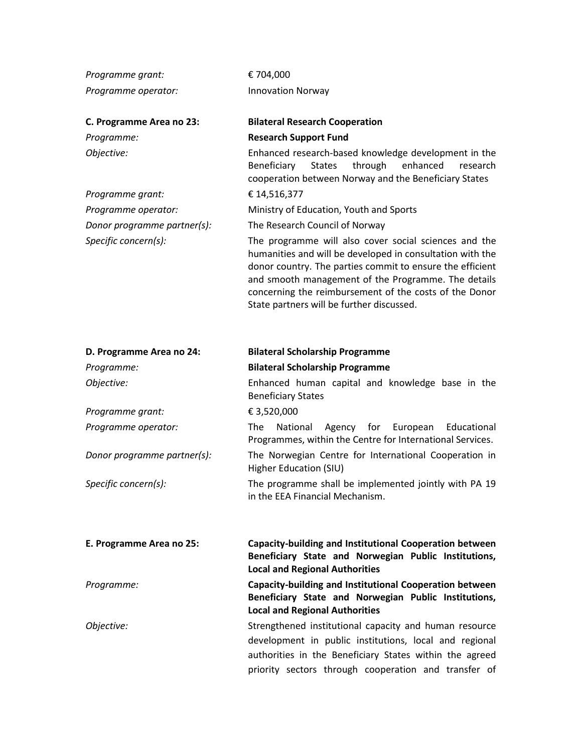| Programme grant:            | € 704,000                                                                                                                                                                                                                                                                                                                                     |
|-----------------------------|-----------------------------------------------------------------------------------------------------------------------------------------------------------------------------------------------------------------------------------------------------------------------------------------------------------------------------------------------|
| Programme operator:         | <b>Innovation Norway</b>                                                                                                                                                                                                                                                                                                                      |
| C. Programme Area no 23:    | <b>Bilateral Research Cooperation</b>                                                                                                                                                                                                                                                                                                         |
| Programme:                  | <b>Research Support Fund</b>                                                                                                                                                                                                                                                                                                                  |
| Objective:                  | Enhanced research-based knowledge development in the<br>through<br>enhanced<br>Beneficiary<br><b>States</b><br>research<br>cooperation between Norway and the Beneficiary States                                                                                                                                                              |
| Programme grant:            | € 14,516,377                                                                                                                                                                                                                                                                                                                                  |
| Programme operator:         | Ministry of Education, Youth and Sports                                                                                                                                                                                                                                                                                                       |
| Donor programme partner(s): | The Research Council of Norway                                                                                                                                                                                                                                                                                                                |
| Specific concern(s):        | The programme will also cover social sciences and the<br>humanities and will be developed in consultation with the<br>donor country. The parties commit to ensure the efficient<br>and smooth management of the Programme. The details<br>concerning the reimbursement of the costs of the Donor<br>State partners will be further discussed. |
| D. Programme Area no 24:    | <b>Bilateral Scholarship Programme</b>                                                                                                                                                                                                                                                                                                        |
| Programme:                  | <b>Bilateral Scholarship Programme</b>                                                                                                                                                                                                                                                                                                        |
| Objective:                  | Enhanced human capital and knowledge base in the<br><b>Beneficiary States</b>                                                                                                                                                                                                                                                                 |
| Programme grant:            | € 3,520,000                                                                                                                                                                                                                                                                                                                                   |
| Programme operator:         | The<br>National<br>Agency for<br>Educational<br>European<br>Programmes, within the Centre for International Services.                                                                                                                                                                                                                         |
| Donor programme partner(s): | The Norwegian Centre for International Cooperation in<br><b>Higher Education (SIU)</b>                                                                                                                                                                                                                                                        |
| Specific concern(s):        | The programme shall be implemented jointly with PA 19<br>in the EEA Financial Mechanism.                                                                                                                                                                                                                                                      |
| E. Programme Area no 25:    | Capacity-building and Institutional Cooperation between<br>Beneficiary State and Norwegian Public Institutions,<br><b>Local and Regional Authorities</b>                                                                                                                                                                                      |
| Programme:                  | Capacity-building and Institutional Cooperation between<br>Beneficiary State and Norwegian Public Institutions,<br><b>Local and Regional Authorities</b>                                                                                                                                                                                      |
| Objective:                  | Strengthened institutional capacity and human resource<br>development in public institutions, local and regional<br>authorities in the Beneficiary States within the agreed<br>priority sectors through cooperation and transfer of                                                                                                           |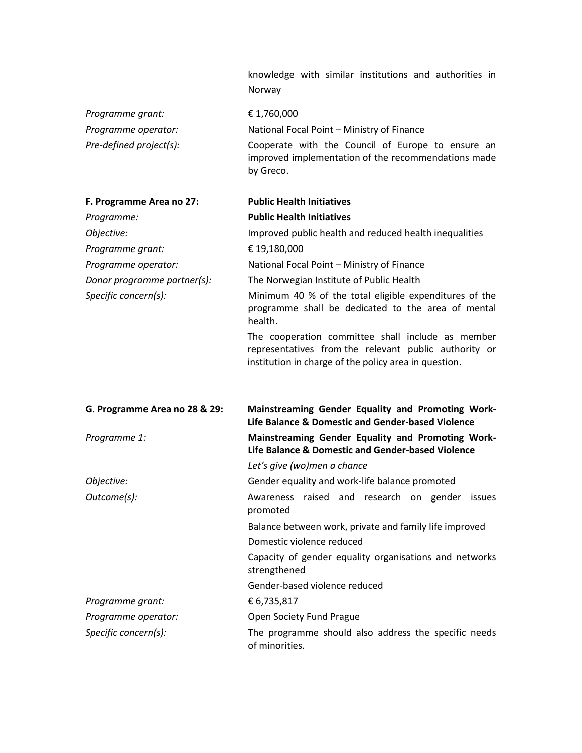|                               | knowledge with similar institutions and authorities in<br>Norway                                                                                                    |
|-------------------------------|---------------------------------------------------------------------------------------------------------------------------------------------------------------------|
| Programme grant:              | €1,760,000                                                                                                                                                          |
| Programme operator:           | National Focal Point - Ministry of Finance                                                                                                                          |
| Pre-defined project(s):       | Cooperate with the Council of Europe to ensure an<br>improved implementation of the recommendations made<br>by Greco.                                               |
| F. Programme Area no 27:      | <b>Public Health Initiatives</b>                                                                                                                                    |
| Programme:                    | <b>Public Health Initiatives</b>                                                                                                                                    |
| Objective:                    | Improved public health and reduced health inequalities                                                                                                              |
| Programme grant:              | € 19,180,000                                                                                                                                                        |
| Programme operator:           | National Focal Point - Ministry of Finance                                                                                                                          |
| Donor programme partner(s):   | The Norwegian Institute of Public Health                                                                                                                            |
| Specific concern(s):          | Minimum 40 % of the total eligible expenditures of the<br>programme shall be dedicated to the area of mental<br>health.                                             |
|                               | The cooperation committee shall include as member<br>representatives from the relevant public authority or<br>institution in charge of the policy area in question. |
| G. Programme Area no 28 & 29: | Mainstreaming Gender Equality and Promoting Work-<br>Life Balance & Domestic and Gender-based Violence                                                              |
| Programme 1:                  | Mainstreaming Gender Equality and Promoting Work-<br>Life Balance & Domestic and Gender-based Violence                                                              |
|                               | Let's give (wo)men a chance                                                                                                                                         |
| Objective:                    | Gender equality and work-life balance promoted                                                                                                                      |
| Outcome(s):                   | Awareness raised and research on gender issues<br>promoted                                                                                                          |
|                               | Balance between work, private and family life improved                                                                                                              |
|                               | Domestic violence reduced                                                                                                                                           |
|                               | Capacity of gender equality organisations and networks<br>strengthened                                                                                              |
|                               | Gender-based violence reduced                                                                                                                                       |
| Programme grant:              | € 6,735,817                                                                                                                                                         |
| Programme operator:           | Open Society Fund Prague                                                                                                                                            |
| Specific concern(s):          | The programme should also address the specific needs<br>of minorities.                                                                                              |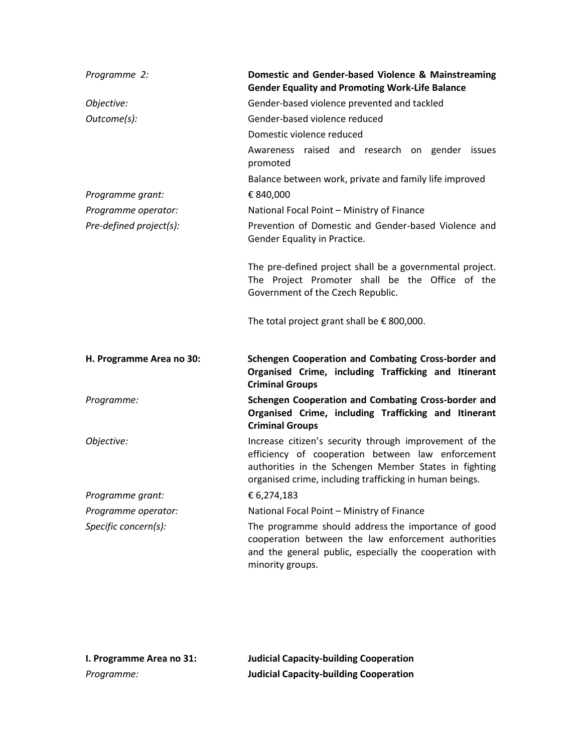| Programme 2:             | Domestic and Gender-based Violence & Mainstreaming<br><b>Gender Equality and Promoting Work-Life Balance</b>                                                                                                                    |
|--------------------------|---------------------------------------------------------------------------------------------------------------------------------------------------------------------------------------------------------------------------------|
| Objective:               | Gender-based violence prevented and tackled                                                                                                                                                                                     |
| Outcome(s):              | Gender-based violence reduced                                                                                                                                                                                                   |
|                          | Domestic violence reduced                                                                                                                                                                                                       |
|                          | Awareness raised and research on gender issues<br>promoted                                                                                                                                                                      |
|                          | Balance between work, private and family life improved                                                                                                                                                                          |
| Programme grant:         | € 840,000                                                                                                                                                                                                                       |
| Programme operator:      | National Focal Point - Ministry of Finance                                                                                                                                                                                      |
| Pre-defined project(s):  | Prevention of Domestic and Gender-based Violence and<br>Gender Equality in Practice.                                                                                                                                            |
|                          | The pre-defined project shall be a governmental project.<br>The Project Promoter shall be the Office of the<br>Government of the Czech Republic.                                                                                |
|                          | The total project grant shall be $\epsilon$ 800,000.                                                                                                                                                                            |
| H. Programme Area no 30: | Schengen Cooperation and Combating Cross-border and<br>Organised Crime, including Trafficking and Itinerant<br><b>Criminal Groups</b>                                                                                           |
| Programme:               | Schengen Cooperation and Combating Cross-border and<br>Organised Crime, including Trafficking and Itinerant<br><b>Criminal Groups</b>                                                                                           |
| Objective:               | Increase citizen's security through improvement of the<br>efficiency of cooperation between law enforcement<br>authorities in the Schengen Member States in fighting<br>organised crime, including trafficking in human beings. |
| Programme grant:         | € 6,274,183                                                                                                                                                                                                                     |
| Programme operator:      | National Focal Point - Ministry of Finance                                                                                                                                                                                      |
| Specific concern(s):     | The programme should address the importance of good<br>cooperation between the law enforcement authorities<br>and the general public, especially the cooperation with<br>minority groups.                                       |

| I. Programme Area no 31: | <b>Judicial Capacity-building Cooperation</b> |
|--------------------------|-----------------------------------------------|
| Programme:               | <b>Judicial Capacity-building Cooperation</b> |